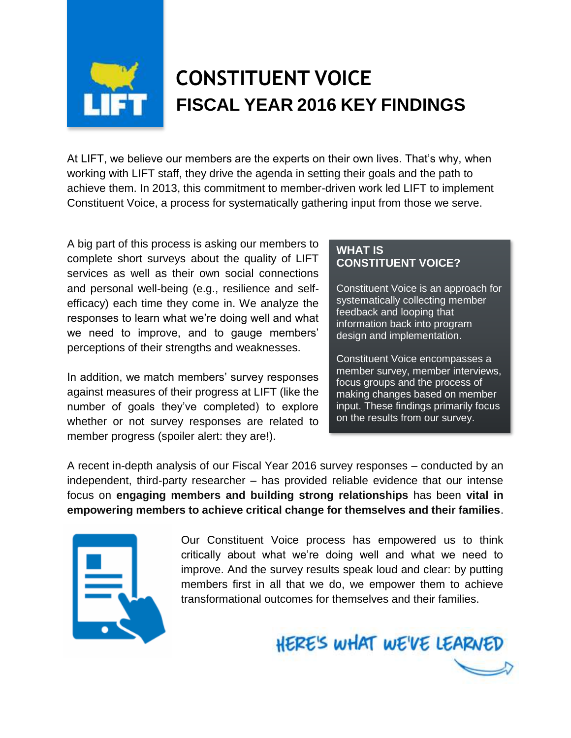

## **CONSTITUENT VOICE FISCAL YEAR 2016 KEY FINDINGS**

At LIFT, we believe our members are the experts on their own lives. That's why, when working with LIFT staff, they drive the agenda in setting their goals and the path to achieve them. In 2013, this commitment to member-driven work led LIFT to implement Constituent Voice, a process for systematically gathering input from those we serve.

A big part of this process is asking our members to complete short surveys about the quality of LIFT services as well as their own social connections and personal well-being (e.g., resilience and selfefficacy) each time they come in. We analyze the responses to learn what we're doing well and what we need to improve, and to gauge members' perceptions of their strengths and weaknesses.

In addition, we match members' survey responses against measures of their progress at LIFT (like the number of goals they've completed) to explore whether or not survey responses are related to member progress (spoiler alert: they are!).

## **WHAT IS CONSTITUENT VOICE?**

Constituent Voice is an approach for systematically collecting member feedback and looping that information back into program design and implementation.

Constituent Voice encompasses a member survey, member interviews, focus groups and the process of making changes based on member input. These findings primarily focus on the results from our survey.

A recent in-depth analysis of our Fiscal Year 2016 survey responses – conducted by an independent, third-party researcher – has provided reliable evidence that our intense focus on **engaging members and building strong relationships** has been **vital in empowering members to achieve critical change for themselves and their families**.



Our Constituent Voice process has empowered us to think critically about what we're doing well and what we need to improve. And the survey results speak loud and clear: by putting members first in all that we do, we empower them to achieve transformational outcomes for themselves and their families.